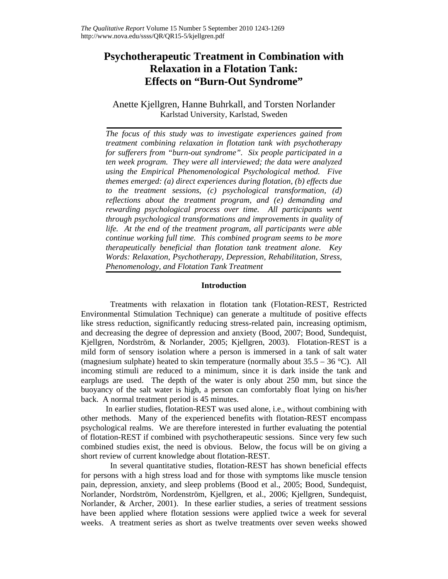# **Psychotherapeutic Treatment in Combination with Relaxation in a Flotation Tank: Effects on "Burn-Out Syndrome"**

Anette Kjellgren, Hanne Buhrkall, and Torsten Norlander Karlstad University, Karlstad, Sweden

*The focus of this study was to investigate experiences gained from treatment combining relaxation in flotation tank with psychotherapy for sufferers from "burn-out syndrome". Six people participated in a ten week program. They were all interviewed; the data were analyzed using the Empirical Phenomenological Psychological method. Five themes emerged: (a) direct experiences during flotation, (b) effects due to the treatment sessions, (c) psychological transformation, (d) reflections about the treatment program, and (e) demanding and*  rewarding psychological process over time. All participants went *through psychological transformations and improvements in quality of life. At the end of the treatment program, all participants were able continue working full time. This combined program seems to be more therapeutically beneficial than flotation tank treatment alone. Key Words: Relaxation, Psychotherapy, Depression, Rehabilitation, Stress, Phenomenology, and Flotation Tank Treatment* 

# **Introduction**

 Treatments with relaxation in flotation tank (Flotation-REST, Restricted Environmental Stimulation Technique) can generate a multitude of positive effects like stress reduction, significantly reducing stress-related pain, increasing optimism, and decreasing the degree of depression and anxiety (Bood, 2007; Bood, Sundequist, Kjellgren, Nordström, & Norlander, 2005; Kjellgren, 2003). Flotation-REST is a mild form of sensory isolation where a person is immersed in a tank of salt water (magnesium sulphate) heated to skin temperature (normally about 35.5 – 36 °C). All incoming stimuli are reduced to a minimum, since it is dark inside the tank and earplugs are used. The depth of the water is only about 250 mm, but since the buoyancy of the salt water is high, a person can comfortably float lying on his/her back. A normal treatment period is 45 minutes.

In earlier studies, flotation-REST was used alone, i.e., without combining with other methods. Many of the experienced benefits with flotation-REST encompass psychological realms. We are therefore interested in further evaluating the potential of flotation-REST if combined with psychotherapeutic sessions. Since very few such combined studies exist, the need is obvious. Below, the focus will be on giving a short review of current knowledge about flotation-REST.

 In several quantitative studies, flotation-REST has shown beneficial effects for persons with a high stress load and for those with symptoms like muscle tension pain, depression, anxiety, and sleep problems (Bood et al., 2005; Bood, Sundequist, Norlander, Nordström, Nordenström, Kjellgren, et al., 2006; Kjellgren, Sundequist, Norlander, & Archer, 2001). In these earlier studies, a series of treatment sessions have been applied where flotation sessions were applied twice a week for several weeks. A treatment series as short as twelve treatments over seven weeks showed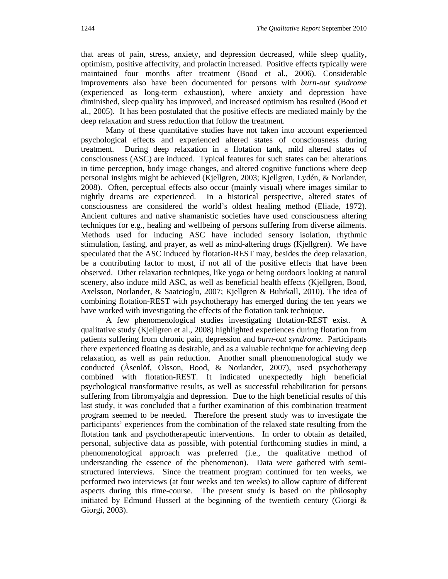that areas of pain, stress, anxiety, and depression decreased, while sleep quality, optimism, positive affectivity, and prolactin increased. Positive effects typically were maintained four months after treatment (Bood et al., 2006). Considerable improvements also have been documented for persons with *burn-out syndrome* (experienced as long-term exhaustion), where anxiety and depression have diminished, sleep quality has improved, and increased optimism has resulted (Bood et al., 2005). It has been postulated that the positive effects are mediated mainly by the deep relaxation and stress reduction that follow the treatment.

Many of these quantitative studies have not taken into account experienced psychological effects and experienced altered states of consciousness during treatment. During deep relaxation in a flotation tank, mild altered states of consciousness (ASC) are induced. Typical features for such states can be: alterations in time perception, body image changes, and altered cognitive functions where deep personal insights might be achieved (Kjellgren, 2003; Kjellgren, Lydén, & Norlander, 2008). Often, perceptual effects also occur (mainly visual) where images similar to nightly dreams are experienced. In a historical perspective, altered states of consciousness are considered the world's oldest healing method (Eliade, 1972). Ancient cultures and native shamanistic societies have used consciousness altering techniques for e.g., healing and wellbeing of persons suffering from diverse ailments. Methods used for inducing ASC have included sensory isolation, rhythmic stimulation, fasting, and prayer, as well as mind-altering drugs (Kjellgren). We have speculated that the ASC induced by flotation-REST may, besides the deep relaxation, be a contributing factor to most, if not all of the positive effects that have been observed. Other relaxation techniques, like yoga or being outdoors looking at natural scenery, also induce mild ASC, as well as beneficial health effects (Kjellgren, Bood, Axelsson, Norlander, & Saatcioglu, 2007; Kjellgren & Buhrkall, 2010). The idea of combining flotation-REST with psychotherapy has emerged during the ten years we have worked with investigating the effects of the flotation tank technique.

A few phenomenological studies investigating flotation-REST exist. A qualitative study (Kjellgren et al., 2008) highlighted experiences during flotation from patients suffering from chronic pain, depression and *burn-out syndrome*. Participants there experienced floating as desirable, and as a valuable technique for achieving deep relaxation, as well as pain reduction. Another small phenomenological study we conducted (Åsenlöf, Olsson, Bood, & Norlander, 2007), used psychotherapy combined with flotation-REST. It indicated unexpectedly high beneficial psychological transformative results, as well as successful rehabilitation for persons suffering from fibromyalgia and depression. Due to the high beneficial results of this last study, it was concluded that a further examination of this combination treatment program seemed to be needed. Therefore the present study was to investigate the participants' experiences from the combination of the relaxed state resulting from the flotation tank and psychotherapeutic interventions. In order to obtain as detailed, personal, subjective data as possible, with potential forthcoming studies in mind, a phenomenological approach was preferred (i.e., the qualitative method of understanding the essence of the phenomenon). Data were gathered with semistructured interviews. Since the treatment program continued for ten weeks, we performed two interviews (at four weeks and ten weeks) to allow capture of different aspects during this time-course. The present study is based on the philosophy initiated by Edmund Husserl at the beginning of the twentieth century (Giorgi  $\&$ Giorgi, 2003).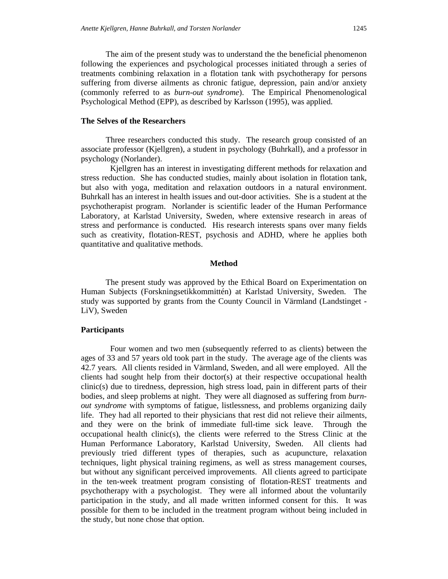The aim of the present study was to understand the the beneficial phenomenon following the experiences and psychological processes initiated through a series of treatments combining relaxation in a flotation tank with psychotherapy for persons suffering from diverse ailments as chronic fatigue, depression, pain and/or anxiety (commonly referred to as *burn-out syndrome*). The Empirical Phenomenological Psychological Method (EPP), as described by Karlsson (1995), was applied.

## **The Selves of the Researchers**

Three researchers conducted this study. The research group consisted of an associate professor (Kjellgren), a student in psychology (Buhrkall), and a professor in psychology (Norlander).

 Kjellgren has an interest in investigating different methods for relaxation and stress reduction. She has conducted studies, mainly about isolation in flotation tank, but also with yoga, meditation and relaxation outdoors in a natural environment. Buhrkall has an interest in health issues and out-door activities. She is a student at the psychotherapist program. Norlander is scientific leader of the Human Performance Laboratory, at Karlstad University, Sweden, where extensive research in areas of stress and performance is conducted. His research interests spans over many fields such as creativity, flotation-REST, psychosis and ADHD, where he applies both quantitative and qualitative methods.

## **Method**

The present study was approved by the Ethical Board on Experimentation on Human Subjects (Forskningsetikkommittén) at Karlstad University, Sweden. The study was supported by grants from the County Council in Värmland (Landstinget - LiV), Sweden

## **Participants**

Four women and two men (subsequently referred to as clients) between the ages of 33 and 57 years old took part in the study. The average age of the clients was 42.7 years*.* All clients resided in Värmland, Sweden, and all were employed. All the clients had sought help from their doctor(s) at their respective occupational health clinic(s) due to tiredness, depression, high stress load, pain in different parts of their bodies, and sleep problems at night. They were all diagnosed as suffering from *burnout syndrome* with symptoms of fatigue, listlessness, and problems organizing daily life. They had all reported to their physicians that rest did not relieve their ailments, and they were on the brink of immediate full-time sick leave. Through the occupational health clinic(s), the clients were referred to the Stress Clinic at the Human Performance Laboratory, Karlstad University, Sweden. All clients had previously tried different types of therapies, such as acupuncture, relaxation techniques, light physical training regimens, as well as stress management courses, but without any significant perceived improvements. All clients agreed to participate in the ten-week treatment program consisting of flotation-REST treatments and psychotherapy with a psychologist. They were all informed about the voluntarily participation in the study, and all made written informed consent for this. It was possible for them to be included in the treatment program without being included in the study, but none chose that option.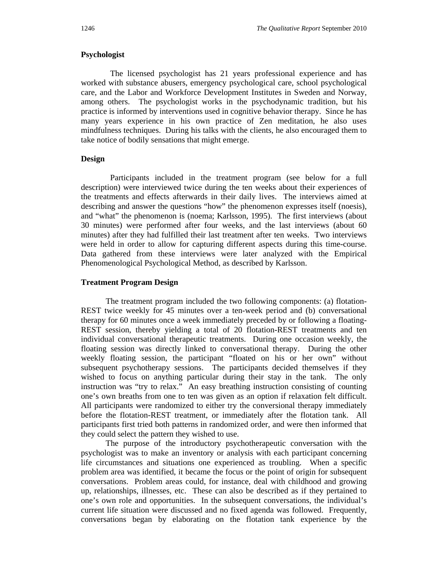## **Psychologist**

 The licensed psychologist has 21 years professional experience and has worked with substance abusers, emergency psychological care, school psychological care, and the Labor and Workforce Development Institutes in Sweden and Norway, among others. The psychologist works in the psychodynamic tradition, but his practice is informed by interventions used in cognitive behavior therapy. Since he has many years experience in his own practice of Zen meditation, he also uses mindfulness techniques. During his talks with the clients, he also encouraged them to take notice of bodily sensations that might emerge.

# **Design**

 Participants included in the treatment program (see below for a full description) were interviewed twice during the ten weeks about their experiences of the treatments and effects afterwards in their daily lives. The interviews aimed at describing and answer the questions "how" the phenomenon expresses itself (noesis), and "what" the phenomenon is (noema; Karlsson, 1995). The first interviews (about 30 minutes) were performed after four weeks, and the last interviews (about 60 minutes) after they had fulfilled their last treatment after ten weeks. Two interviews were held in order to allow for capturing different aspects during this time-course. Data gathered from these interviews were later analyzed with the Empirical Phenomenological Psychological Method, as described by Karlsson.

## **Treatment Program Design**

The treatment program included the two following components: (a) flotation-REST twice weekly for 45 minutes over a ten-week period and (b) conversational therapy for 60 minutes once a week immediately preceded by or following a floating-REST session, thereby yielding a total of 20 flotation-REST treatments and ten individual conversational therapeutic treatments. During one occasion weekly, the floating session was directly linked to conversational therapy. During the other weekly floating session, the participant "floated on his or her own" without subsequent psychotherapy sessions. The participants decided themselves if they wished to focus on anything particular during their stay in the tank. The only instruction was "try to relax." An easy breathing instruction consisting of counting one's own breaths from one to ten was given as an option if relaxation felt difficult. All participants were randomized to either try the conversional therapy immediately before the flotation-REST treatment, or immediately after the flotation tank. All participants first tried both patterns in randomized order, and were then informed that they could select the pattern they wished to use.

The purpose of the introductory psychotherapeutic conversation with the psychologist was to make an inventory or analysis with each participant concerning life circumstances and situations one experienced as troubling. When a specific problem area was identified, it became the focus or the point of origin for subsequent conversations. Problem areas could, for instance, deal with childhood and growing up, relationships, illnesses, etc. These can also be described as if they pertained to one's own role and opportunities. In the subsequent conversations, the individual's current life situation were discussed and no fixed agenda was followed. Frequently, conversations began by elaborating on the flotation tank experience by the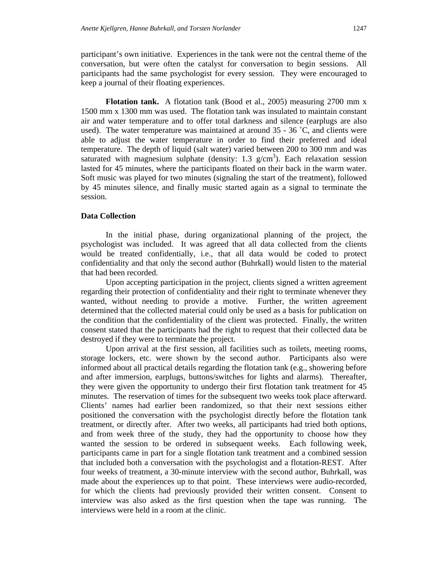participant's own initiative. Experiences in the tank were not the central theme of the conversation, but were often the catalyst for conversation to begin sessions. All participants had the same psychologist for every session. They were encouraged to keep a journal of their floating experiences.

**Flotation tank.** A flotation tank (Bood et al., 2005) measuring 2700 mm x 1500 mm x 1300 mm was used. The flotation tank was insulated to maintain constant air and water temperature and to offer total darkness and silence (earplugs are also used). The water temperature was maintained at around  $35 - 36$  °C, and clients were able to adjust the water temperature in order to find their preferred and ideal temperature. The depth of liquid (salt water) varied between 200 to 300 mm and was saturated with magnesium sulphate (density: 1.3  $g/cm<sup>3</sup>$ ). Each relaxation session lasted for 45 minutes, where the participants floated on their back in the warm water. Soft music was played for two minutes (signaling the start of the treatment), followed by 45 minutes silence, and finally music started again as a signal to terminate the session.

## **Data Collection**

In the initial phase, during organizational planning of the project, the psychologist was included. It was agreed that all data collected from the clients would be treated confidentially, i.e., that all data would be coded to protect confidentiality and that only the second author (Buhrkall) would listen to the material that had been recorded.

Upon accepting participation in the project, clients signed a written agreement regarding their protection of confidentiality and their right to terminate whenever they wanted, without needing to provide a motive. Further, the written agreement determined that the collected material could only be used as a basis for publication on the condition that the confidentiality of the client was protected. Finally, the written consent stated that the participants had the right to request that their collected data be destroyed if they were to terminate the project.

Upon arrival at the first session, all facilities such as toilets, meeting rooms, storage lockers, etc. were shown by the second author. Participants also were informed about all practical details regarding the flotation tank (e.g., showering before and after immersion, earplugs, buttons/switches for lights and alarms). Thereafter, they were given the opportunity to undergo their first flotation tank treatment for 45 minutes. The reservation of times for the subsequent two weeks took place afterward. Clients' names had earlier been randomized, so that their next sessions either positioned the conversation with the psychologist directly before the flotation tank treatment, or directly after. After two weeks, all participants had tried both options, and from week three of the study, they had the opportunity to choose how they wanted the session to be ordered in subsequent weeks. Each following week, participants came in part for a single flotation tank treatment and a combined session that included both a conversation with the psychologist and a flotation-REST. After four weeks of treatment, a 30-minute interview with the second author, Buhrkall, was made about the experiences up to that point. These interviews were audio-recorded, for which the clients had previously provided their written consent. Consent to interview was also asked as the first question when the tape was running. The interviews were held in a room at the clinic.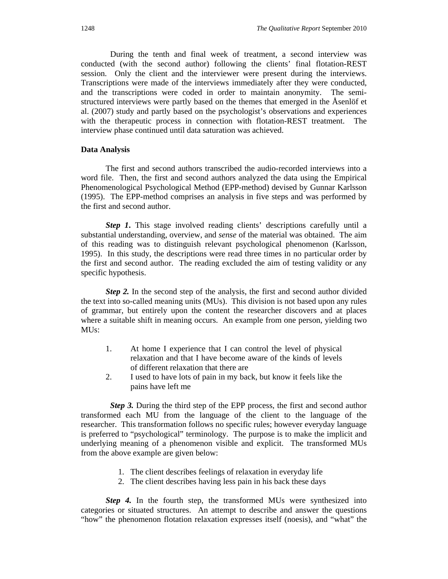During the tenth and final week of treatment, a second interview was conducted (with the second author) following the clients' final flotation-REST session. Only the client and the interviewer were present during the interviews. Transcriptions were made of the interviews immediately after they were conducted, and the transcriptions were coded in order to maintain anonymity. The semistructured interviews were partly based on the themes that emerged in the Åsenlöf et al. (2007) study and partly based on the psychologist's observations and experiences with the therapeutic process in connection with flotation-REST treatment. The interview phase continued until data saturation was achieved.

## **Data Analysis**

The first and second authors transcribed the audio-recorded interviews into a word file. Then, the first and second authors analyzed the data using the Empirical Phenomenological Psychological Method (EPP-method) devised by Gunnar Karlsson (1995). The EPP-method comprises an analysis in five steps and was performed by the first and second author.

*Step 1***.** This stage involved reading clients' descriptions carefully until a substantial understanding, overview, and *sense* of the material was obtained. The aim of this reading was to distinguish relevant psychological phenomenon (Karlsson, 1995). In this study, the descriptions were read three times in no particular order by the first and second author. The reading excluded the aim of testing validity or any specific hypothesis.

*Step 2.* In the second step of the analysis, the first and second author divided the text into so-called meaning units (MUs). This division is not based upon any rules of grammar, but entirely upon the content the researcher discovers and at places where a suitable shift in meaning occurs. An example from one person, yielding two MU<sub>s</sub>:

- 1. At home I experience that I can control the level of physical relaxation and that I have become aware of the kinds of levels of different relaxation that there are
- 2. I used to have lots of pain in my back, but know it feels like the pains have left me

*Step 3.* During the third step of the EPP process, the first and second author transformed each MU from the language of the client to the language of the researcher. This transformation follows no specific rules; however everyday language is preferred to "psychological" terminology. The purpose is to make the implicit and underlying meaning of a phenomenon visible and explicit. The transformed MUs from the above example are given below:

- 1. The client describes feelings of relaxation in everyday life
- 2. The client describes having less pain in his back these days

*Step 4.* In the fourth step, the transformed MUs were synthesized into categories or situated structures. An attempt to describe and answer the questions "how" the phenomenon flotation relaxation expresses itself (noesis), and "what" the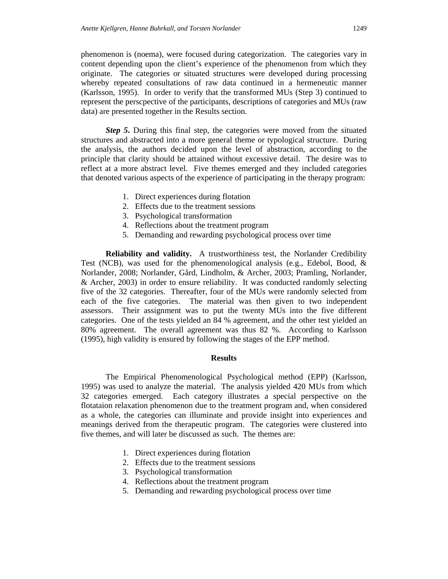phenomenon is (noema), were focused during categorization. The categories vary in content depending upon the client's experience of the phenomenon from which they originate. The categories or situated structures were developed during processing whereby repeated consultations of raw data continued in a hermeneutic manner (Karlsson, 1995). In order to verify that the transformed MUs (Step 3) continued to represent the perscpective of the participants, descriptions of categories and MUs (raw data) are presented together in the Results section.

*Step 5***.** During this final step, the categories were moved from the situated structures and abstracted into a more general theme or typological structure. During the analysis, the authors decided upon the level of abstraction, according to the principle that clarity should be attained without excessive detail. The desire was to reflect at a more abstract level. Five themes emerged and they included categories that denoted various aspects of the experience of participating in the therapy program:

- 1. Direct experiences during flotation
- 2. Effects due to the treatment sessions
- 3. Psychological transformation
- 4. Reflections about the treatment program
- 5. Demanding and rewarding psychological process over time

**Reliability and validity.** A trustworthiness test, the Norlander Credibility Test (NCB), was used for the phenomenological analysis (e.g., Edebol, Bood, & Norlander, 2008; Norlander, Gård, Lindholm, & Archer, 2003; Pramling, Norlander, & Archer, 2003) in order to ensure reliability. It was conducted randomly selecting five of the 32 categories. Thereafter, four of the MUs were randomly selected from each of the five categories. The material was then given to two independent assessors. Their assignment was to put the twenty MUs into the five different categories. One of the tests yielded an 84 % agreement, and the other test yielded an 80% agreement. The overall agreement was thus 82 %. According to Karlsson (1995), high validity is ensured by following the stages of the EPP method.

## **Results**

The Empirical Phenomenological Psychological method (EPP) (Karlsson, 1995) was used to analyze the material. The analysis yielded 420 MUs from which 32 categories emerged. Each category illustrates a special perspective on the flotataion relaxation phenomenon due to the treatment program and, when considered as a whole, the categories can illuminate and provide insight into experiences and meanings derived from the therapeutic program. The categories were clustered into five themes, and will later be discussed as such. The themes are:

- 1. Direct experiences during flotation
- 2. Effects due to the treatment sessions
- 3. Psychological transformation
- 4. Reflections about the treatment program
- 5. Demanding and rewarding psychological process over time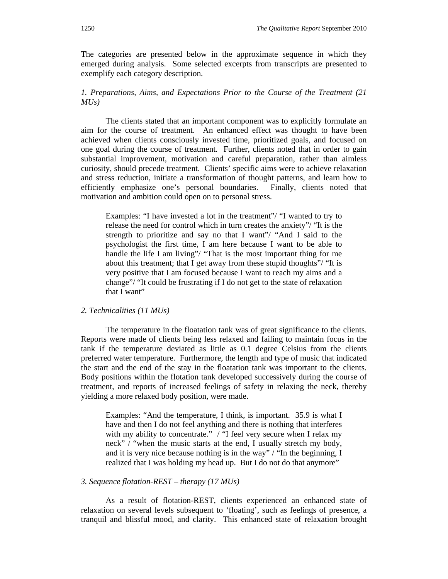The categories are presented below in the approximate sequence in which they emerged during analysis. Some selected excerpts from transcripts are presented to exemplify each category description.

# *1. Preparations, Aims, and Expectations Prior to the Course of the Treatment (21 MUs)*

The clients stated that an important component was to explicitly formulate an aim for the course of treatment. An enhanced effect was thought to have been achieved when clients consciously invested time, prioritized goals, and focused on one goal during the course of treatment. Further, clients noted that in order to gain substantial improvement, motivation and careful preparation, rather than aimless curiosity, should precede treatment. Clients' specific aims were to achieve relaxation and stress reduction, initiate a transformation of thought patterns, and learn how to efficiently emphasize one's personal boundaries. Finally, clients noted that motivation and ambition could open on to personal stress.

Examples: "I have invested a lot in the treatment"/ "I wanted to try to release the need for control which in turn creates the anxiety"/ "It is the strength to prioritize and say no that I want"/ "And I said to the psychologist the first time, I am here because I want to be able to handle the life I am living"/ "That is the most important thing for me about this treatment; that I get away from these stupid thoughts"/ "It is very positive that I am focused because I want to reach my aims and a change"/ "It could be frustrating if I do not get to the state of relaxation that I want"

## *2. Technicalities (11 MUs)*

The temperature in the floatation tank was of great significance to the clients. Reports were made of clients being less relaxed and failing to maintain focus in the tank if the temperature deviated as little as 0.1 degree Celsius from the clients preferred water temperature. Furthermore, the length and type of music that indicated the start and the end of the stay in the floatation tank was important to the clients. Body positions within the flotation tank developed successively during the course of treatment, and reports of increased feelings of safety in relaxing the neck, thereby yielding a more relaxed body position, were made.

Examples: "And the temperature, I think, is important. 35.9 is what I have and then I do not feel anything and there is nothing that interferes with my ability to concentrate." / "I feel very secure when I relax my neck" / "when the music starts at the end, I usually stretch my body, and it is very nice because nothing is in the way" / "In the beginning, I realized that I was holding my head up. But I do not do that anymore"

## *3. Sequence flotation-REST – therapy (17 MUs)*

As a result of flotation-REST, clients experienced an enhanced state of relaxation on several levels subsequent to 'floating', such as feelings of presence, a tranquil and blissful mood, and clarity. This enhanced state of relaxation brought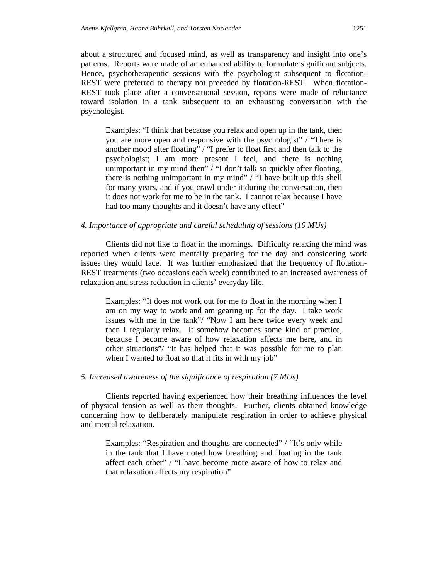about a structured and focused mind, as well as transparency and insight into one's patterns. Reports were made of an enhanced ability to formulate significant subjects. Hence, psychotherapeutic sessions with the psychologist subsequent to flotation-REST were preferred to therapy not preceded by flotation-REST. When flotation-REST took place after a conversational session, reports were made of reluctance toward isolation in a tank subsequent to an exhausting conversation with the psychologist.

Examples: "I think that because you relax and open up in the tank, then you are more open and responsive with the psychologist" / "There is another mood after floating" / "I prefer to float first and then talk to the psychologist; I am more present I feel, and there is nothing unimportant in my mind then" / "I don't talk so quickly after floating, there is nothing unimportant in my mind" / "I have built up this shell for many years, and if you crawl under it during the conversation, then it does not work for me to be in the tank. I cannot relax because I have had too many thoughts and it doesn't have any effect"

#### *4. Importance of appropriate and careful scheduling of sessions (10 MUs)*

Clients did not like to float in the mornings. Difficulty relaxing the mind was reported when clients were mentally preparing for the day and considering work issues they would face. It was further emphasized that the frequency of flotation-REST treatments (two occasions each week) contributed to an increased awareness of relaxation and stress reduction in clients' everyday life.

Examples: "It does not work out for me to float in the morning when I am on my way to work and am gearing up for the day. I take work issues with me in the tank"/ "Now I am here twice every week and then I regularly relax. It somehow becomes some kind of practice, because I become aware of how relaxation affects me here, and in other situations"/ "It has helped that it was possible for me to plan when I wanted to float so that it fits in with my job"

## *5. Increased awareness of the significance of respiration (7 MUs)*

Clients reported having experienced how their breathing influences the level of physical tension as well as their thoughts. Further, clients obtained knowledge concerning how to deliberately manipulate respiration in order to achieve physical and mental relaxation.

Examples: "Respiration and thoughts are connected" / "It's only while in the tank that I have noted how breathing and floating in the tank affect each other" / "I have become more aware of how to relax and that relaxation affects my respiration"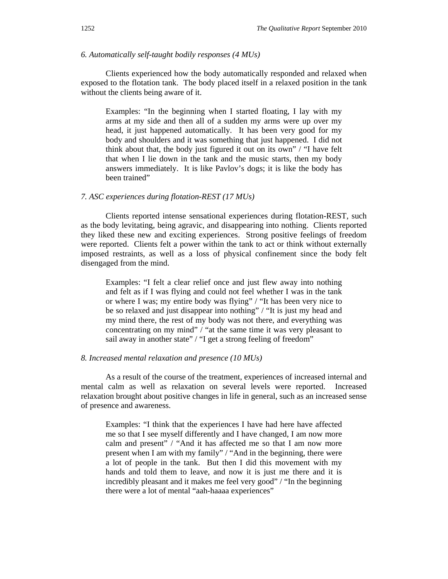## *6. Automatically self-taught bodily responses (4 MUs)*

Clients experienced how the body automatically responded and relaxed when exposed to the flotation tank. The body placed itself in a relaxed position in the tank without the clients being aware of it.

Examples: "In the beginning when I started floating, I lay with my arms at my side and then all of a sudden my arms were up over my head, it just happened automatically. It has been very good for my body and shoulders and it was something that just happened. I did not think about that, the body just figured it out on its own" / "I have felt that when I lie down in the tank and the music starts, then my body answers immediately. It is like Pavlov's dogs; it is like the body has been trained"

## *7. ASC experiences during flotation-REST (17 MUs)*

Clients reported intense sensational experiences during flotation-REST, such as the body levitating, being agravic, and disappearing into nothing. Clients reported they liked these new and exciting experiences. Strong positive feelings of freedom were reported. Clients felt a power within the tank to act or think without externally imposed restraints, as well as a loss of physical confinement since the body felt disengaged from the mind.

Examples: "I felt a clear relief once and just flew away into nothing and felt as if I was flying and could not feel whether I was in the tank or where I was; my entire body was flying" / "It has been very nice to be so relaxed and just disappear into nothing" / "It is just my head and my mind there, the rest of my body was not there, and everything was concentrating on my mind" / "at the same time it was very pleasant to sail away in another state" / "I get a strong feeling of freedom"

## *8. Increased mental relaxation and presence (10 MUs)*

As a result of the course of the treatment, experiences of increased internal and mental calm as well as relaxation on several levels were reported. Increased relaxation brought about positive changes in life in general, such as an increased sense of presence and awareness.

Examples: "I think that the experiences I have had here have affected me so that I see myself differently and I have changed, I am now more calm and present" / "And it has affected me so that I am now more present when I am with my family" / "And in the beginning, there were a lot of people in the tank. But then I did this movement with my hands and told them to leave, and now it is just me there and it is incredibly pleasant and it makes me feel very good" / "In the beginning there were a lot of mental "aah-haaaa experiences"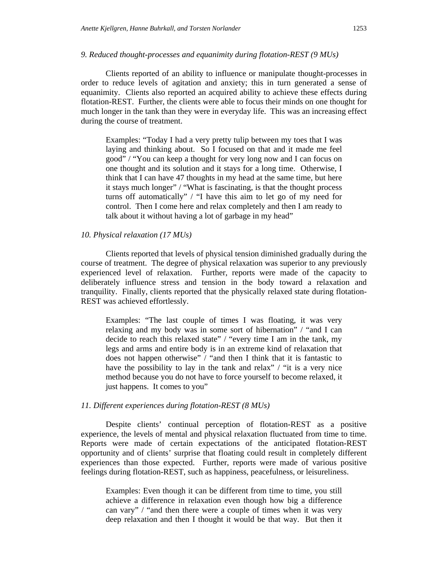*9. Reduced thought-processes and equanimity during flotation-REST (9 MUs)* 

Clients reported of an ability to influence or manipulate thought-processes in order to reduce levels of agitation and anxiety; this in turn generated a sense of equanimity. Clients also reported an acquired ability to achieve these effects during flotation-REST. Further, the clients were able to focus their minds on one thought for much longer in the tank than they were in everyday life. This was an increasing effect during the course of treatment.

Examples: "Today I had a very pretty tulip between my toes that I was laying and thinking about. So I focused on that and it made me feel good" / "You can keep a thought for very long now and I can focus on one thought and its solution and it stays for a long time. Otherwise, I think that I can have 47 thoughts in my head at the same time, but here it stays much longer" / "What is fascinating, is that the thought process turns off automatically" / "I have this aim to let go of my need for control. Then I come here and relax completely and then I am ready to talk about it without having a lot of garbage in my head"

#### *10. Physical relaxation (17 MUs)*

Clients reported that levels of physical tension diminished gradually during the course of treatment. The degree of physical relaxation was superior to any previously experienced level of relaxation. Further, reports were made of the capacity to deliberately influence stress and tension in the body toward a relaxation and tranquility. Finally, clients reported that the physically relaxed state during flotation-REST was achieved effortlessly.

Examples: "The last couple of times I was floating, it was very relaxing and my body was in some sort of hibernation" / "and I can decide to reach this relaxed state" / "every time I am in the tank, my legs and arms and entire body is in an extreme kind of relaxation that does not happen otherwise" / "and then I think that it is fantastic to have the possibility to lay in the tank and relax" / "it is a very nice method because you do not have to force yourself to become relaxed, it just happens. It comes to you"

## *11. Different experiences during flotation-REST (8 MUs)*

Despite clients' continual perception of flotation-REST as a positive experience, the levels of mental and physical relaxation fluctuated from time to time. Reports were made of certain expectations of the anticipated flotation-REST opportunity and of clients' surprise that floating could result in completely different experiences than those expected. Further, reports were made of various positive feelings during flotation-REST, such as happiness, peacefulness, or leisureliness.

Examples: Even though it can be different from time to time, you still achieve a difference in relaxation even though how big a difference can vary" / "and then there were a couple of times when it was very deep relaxation and then I thought it would be that way. But then it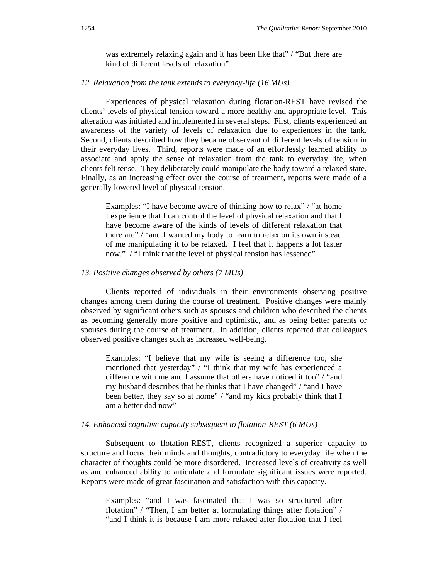was extremely relaxing again and it has been like that" / "But there are kind of different levels of relaxation"

#### *12. Relaxation from the tank extends to everyday-life (16 MUs)*

Experiences of physical relaxation during flotation-REST have revised the clients' levels of physical tension toward a more healthy and appropriate level. This alteration was initiated and implemented in several steps. First, clients experienced an awareness of the variety of levels of relaxation due to experiences in the tank. Second, clients described how they became observant of different levels of tension in their everyday lives. Third, reports were made of an effortlessly learned ability to associate and apply the sense of relaxation from the tank to everyday life, when clients felt tense. They deliberately could manipulate the body toward a relaxed state. Finally, as an increasing effect over the course of treatment, reports were made of a generally lowered level of physical tension.

Examples: "I have become aware of thinking how to relax" / "at home I experience that I can control the level of physical relaxation and that I have become aware of the kinds of levels of different relaxation that there are" / "and I wanted my body to learn to relax on its own instead of me manipulating it to be relaxed. I feel that it happens a lot faster now." / "I think that the level of physical tension has lessened"

## *13. Positive changes observed by others (7 MUs)*

Clients reported of individuals in their environments observing positive changes among them during the course of treatment. Positive changes were mainly observed by significant others such as spouses and children who described the clients as becoming generally more positive and optimistic, and as being better parents or spouses during the course of treatment. In addition, clients reported that colleagues observed positive changes such as increased well-being.

Examples: "I believe that my wife is seeing a difference too, she mentioned that yesterday" / "I think that my wife has experienced a difference with me and I assume that others have noticed it too" / "and my husband describes that he thinks that I have changed" / "and I have been better, they say so at home" / "and my kids probably think that I am a better dad now"

#### *14. Enhanced cognitive capacity subsequent to flotation-REST (6 MUs)*

Subsequent to flotation-REST, clients recognized a superior capacity to structure and focus their minds and thoughts, contradictory to everyday life when the character of thoughts could be more disordered. Increased levels of creativity as well as and enhanced ability to articulate and formulate significant issues were reported. Reports were made of great fascination and satisfaction with this capacity.

Examples: "and I was fascinated that I was so structured after flotation" / "Then, I am better at formulating things after flotation" / "and I think it is because I am more relaxed after flotation that I feel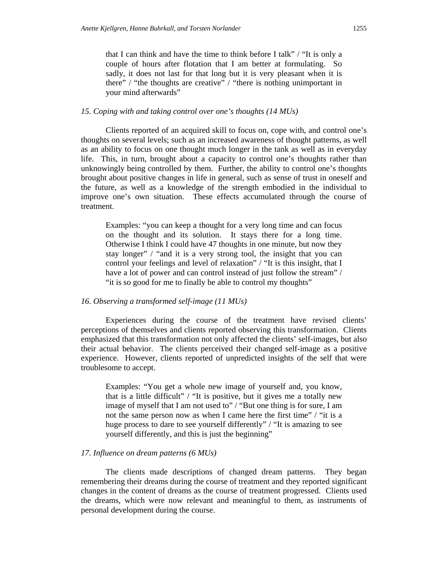that I can think and have the time to think before I talk" / "It is only a couple of hours after flotation that I am better at formulating. So sadly, it does not last for that long but it is very pleasant when it is there" / "the thoughts are creative" / "there is nothing unimportant in your mind afterwards"

#### *15. Coping with and taking control over one's thoughts (14 MUs)*

Clients reported of an acquired skill to focus on, cope with, and control one's thoughts on several levels; such as an increased awareness of thought patterns, as well as an ability to focus on one thought much longer in the tank as well as in everyday life. This, in turn, brought about a capacity to control one's thoughts rather than unknowingly being controlled by them. Further, the ability to control one's thoughts brought about positive changes in life in general, such as sense of trust in oneself and the future, as well as a knowledge of the strength embodied in the individual to improve one's own situation. These effects accumulated through the course of treatment.

Examples: "you can keep a thought for a very long time and can focus on the thought and its solution. It stays there for a long time. Otherwise I think I could have 47 thoughts in one minute, but now they stay longer" / "and it is a very strong tool, the insight that you can control your feelings and level of relaxation" / "It is this insight, that I have a lot of power and can control instead of just follow the stream" / "it is so good for me to finally be able to control my thoughts"

## *16. Observing a transformed self-image (11 MUs)*

Experiences during the course of the treatment have revised clients' perceptions of themselves and clients reported observing this transformation. Clients emphasized that this transformation not only affected the clients' self-images, but also their actual behavior. The clients perceived their changed self-image as a positive experience. However, clients reported of unpredicted insights of the self that were troublesome to accept.

Examples: "You get a whole new image of yourself and, you know, that is a little difficult" / "It is positive, but it gives me a totally new image of myself that I am not used to" / "But one thing is for sure, I am not the same person now as when I came here the first time" / "it is a huge process to dare to see yourself differently" / "It is amazing to see yourself differently, and this is just the beginning"

#### *17. Influence on dream patterns (6 MUs)*

The clients made descriptions of changed dream patterns. They began remembering their dreams during the course of treatment and they reported significant changes in the content of dreams as the course of treatment progressed. Clients used the dreams, which were now relevant and meaningful to them, as instruments of personal development during the course.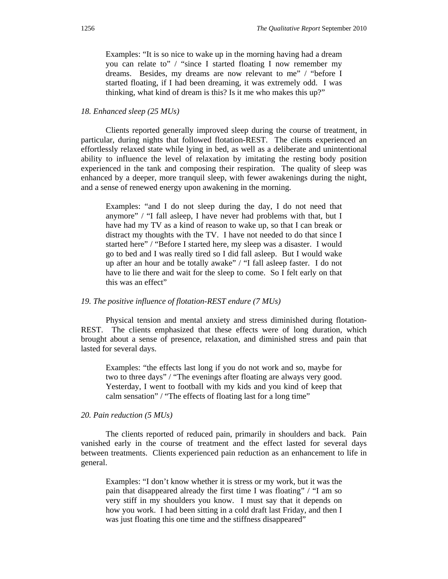Examples: "It is so nice to wake up in the morning having had a dream you can relate to" / "since I started floating I now remember my dreams. Besides, my dreams are now relevant to me" / "before I started floating, if I had been dreaming, it was extremely odd. I was thinking, what kind of dream is this? Is it me who makes this up?"

#### *18. Enhanced sleep (25 MUs)*

Clients reported generally improved sleep during the course of treatment, in particular, during nights that followed flotation-REST. The clients experienced an effortlessly relaxed state while lying in bed, as well as a deliberate and unintentional ability to influence the level of relaxation by imitating the resting body position experienced in the tank and composing their respiration. The quality of sleep was enhanced by a deeper, more tranquil sleep, with fewer awakenings during the night, and a sense of renewed energy upon awakening in the morning.

Examples: "and I do not sleep during the day, I do not need that anymore" / "I fall asleep, I have never had problems with that, but I have had my TV as a kind of reason to wake up, so that I can break or distract my thoughts with the TV. I have not needed to do that since I started here" / "Before I started here, my sleep was a disaster. I would go to bed and I was really tired so I did fall asleep. But I would wake up after an hour and be totally awake" / "I fall asleep faster. I do not have to lie there and wait for the sleep to come. So I felt early on that this was an effect"

## *19. The positive influence of flotation-REST endure (7 MUs)*

Physical tension and mental anxiety and stress diminished during flotation-REST. The clients emphasized that these effects were of long duration, which brought about a sense of presence, relaxation, and diminished stress and pain that lasted for several days.

Examples: "the effects last long if you do not work and so, maybe for two to three days" / "The evenings after floating are always very good. Yesterday, I went to football with my kids and you kind of keep that calm sensation" / "The effects of floating last for a long time"

## *20. Pain reduction (5 MUs)*

The clients reported of reduced pain, primarily in shoulders and back. Pain vanished early in the course of treatment and the effect lasted for several days between treatments. Clients experienced pain reduction as an enhancement to life in general.

Examples: "I don't know whether it is stress or my work, but it was the pain that disappeared already the first time I was floating" / "I am so very stiff in my shoulders you know. I must say that it depends on how you work. I had been sitting in a cold draft last Friday, and then I was just floating this one time and the stiffness disappeared"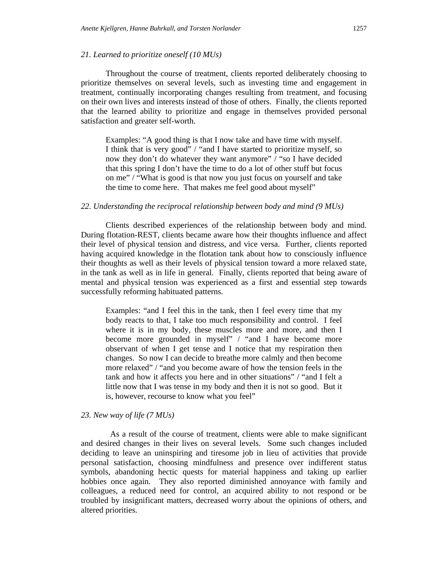## *21. Learned to prioritize oneself (10 MUs)*

Throughout the course of treatment, clients reported deliberately choosing to prioritize themselves on several levels, such as investing time and engagement in treatment, continually incorporating changes resulting from treatment, and focusing on their own lives and interests instead of those of others. Finally, the clients reported that the learned ability to prioritize and engage in themselves provided personal satisfaction and greater self-worth.

Examples: "A good thing is that I now take and have time with myself. I think that is very good" / "and I have started to prioritize myself, so now they don't do whatever they want anymore" / "so I have decided that this spring I don't have the time to do a lot of other stuff but focus on me" / "What is good is that now you just focus on yourself and take the time to come here. That makes me feel good about myself"

## *22. Understanding the reciprocal relationship between body and mind (9 MUs)*

Clients described experiences of the relationship between body and mind. During flotation-REST, clients became aware how their thoughts influence and affect their level of physical tension and distress, and vice versa. Further, clients reported having acquired knowledge in the flotation tank about how to consciously influence their thoughts as well as their levels of physical tension toward a more relaxed state, in the tank as well as in life in general. Finally, clients reported that being aware of mental and physical tension was experienced as a first and essential step towards successfully reforming habituated patterns.

Examples: "and I feel this in the tank, then I feel every time that my body reacts to that, I take too much responsibility and control. I feel where it is in my body, these muscles more and more, and then I become more grounded in myself" / "and I have become more observant of when I get tense and I notice that my respiration then changes. So now I can decide to breathe more calmly and then become more relaxed" / "and you become aware of how the tension feels in the tank and how it affects you here and in other situations" / "and I felt a little now that I was tense in my body and then it is not so good. But it is, however, recourse to know what you feel"

## *23. New way of life (7 MUs)*

 As a result of the course of treatment, clients were able to make significant and desired changes in their lives on several levels. Some such changes included deciding to leave an uninspiring and tiresome job in lieu of activities that provide personal satisfaction, choosing mindfulness and presence over indifferent status symbols, abandoning hectic quests for material happiness and taking up earlier hobbies once again. They also reported diminished annoyance with family and colleagues, a reduced need for control, an acquired ability to not respond or be troubled by insignificant matters, decreased worry about the opinions of others, and altered priorities.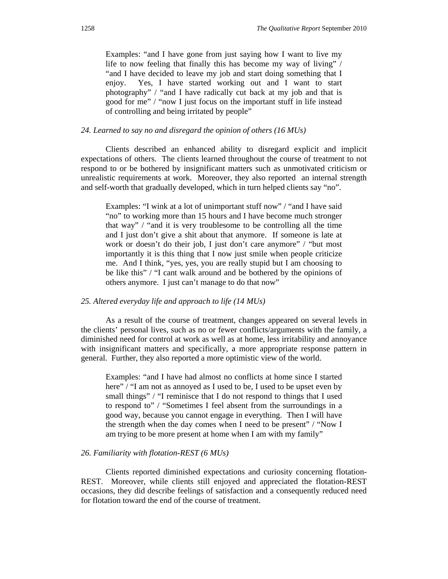Examples: "and I have gone from just saying how I want to live my life to now feeling that finally this has become my way of living" / "and I have decided to leave my job and start doing something that I enjoy. Yes, I have started working out and I want to start photography" / "and I have radically cut back at my job and that is good for me" / "now I just focus on the important stuff in life instead of controlling and being irritated by people"

### *24. Learned to say no and disregard the opinion of others (16 MUs)*

Clients described an enhanced ability to disregard explicit and implicit expectations of others. The clients learned throughout the course of treatment to not respond to or be bothered by insignificant matters such as unmotivated criticism or unrealistic requirements at work. Moreover, they also reported an internal strength and self-worth that gradually developed, which in turn helped clients say "no".

Examples: "I wink at a lot of unimportant stuff now" / "and I have said "no" to working more than 15 hours and I have become much stronger that way" / "and it is very troublesome to be controlling all the time and I just don't give a shit about that anymore. If someone is late at work or doesn't do their job, I just don't care anymore" / "but most importantly it is this thing that I now just smile when people criticize me. And I think, "yes, yes, you are really stupid but I am choosing to be like this" / "I cant walk around and be bothered by the opinions of others anymore. I just can't manage to do that now"

## *25. Altered everyday life and approach to life (14 MUs)*

As a result of the course of treatment, changes appeared on several levels in the clients' personal lives, such as no or fewer conflicts/arguments with the family, a diminished need for control at work as well as at home, less irritability and annoyance with insignificant matters and specifically, a more appropriate response pattern in general. Further, they also reported a more optimistic view of the world.

Examples: "and I have had almost no conflicts at home since I started here" / "I am not as annoyed as I used to be, I used to be upset even by small things" / "I reminisce that I do not respond to things that I used to respond to" / "Sometimes I feel absent from the surroundings in a good way, because you cannot engage in everything. Then I will have the strength when the day comes when I need to be present" / "Now I am trying to be more present at home when I am with my family"

#### *26. Familiarity with flotation-REST (6 MUs)*

Clients reported diminished expectations and curiosity concerning flotation-REST. Moreover, while clients still enjoyed and appreciated the flotation-REST occasions, they did describe feelings of satisfaction and a consequently reduced need for flotation toward the end of the course of treatment.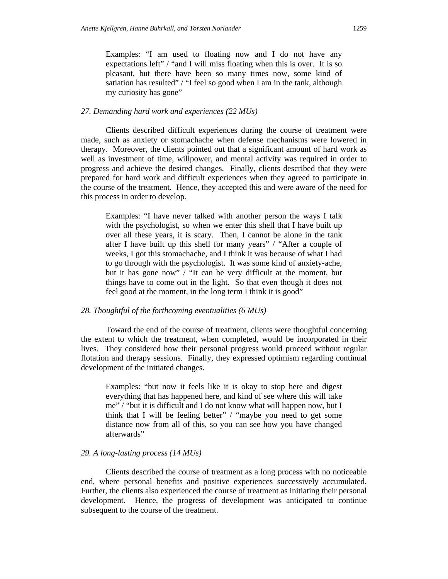## *27. Demanding hard work and experiences (22 MUs)*

Clients described difficult experiences during the course of treatment were made, such as anxiety or stomachache when defense mechanisms were lowered in therapy. Moreover, the clients pointed out that a significant amount of hard work as well as investment of time, willpower, and mental activity was required in order to progress and achieve the desired changes. Finally, clients described that they were prepared for hard work and difficult experiences when they agreed to participate in the course of the treatment. Hence, they accepted this and were aware of the need for this process in order to develop.

Examples: "I have never talked with another person the ways I talk with the psychologist, so when we enter this shell that I have built up over all these years, it is scary. Then, I cannot be alone in the tank after I have built up this shell for many years" / "After a couple of weeks, I got this stomachache, and I think it was because of what I had to go through with the psychologist. It was some kind of anxiety-ache, but it has gone now" / "It can be very difficult at the moment, but things have to come out in the light. So that even though it does not feel good at the moment, in the long term I think it is good"

# *28. Thoughtful of the forthcoming eventualities (6 MUs)*

Toward the end of the course of treatment, clients were thoughtful concerning the extent to which the treatment, when completed, would be incorporated in their lives. They considered how their personal progress would proceed without regular flotation and therapy sessions. Finally, they expressed optimism regarding continual development of the initiated changes.

Examples: "but now it feels like it is okay to stop here and digest everything that has happened here, and kind of see where this will take me" / "but it is difficult and I do not know what will happen now, but I think that I will be feeling better" / "maybe you need to get some distance now from all of this, so you can see how you have changed afterwards"

# *29. A long-lasting process (14 MUs)*

Clients described the course of treatment as a long process with no noticeable end, where personal benefits and positive experiences successively accumulated. Further, the clients also experienced the course of treatment as initiating their personal development. Hence, the progress of development was anticipated to continue subsequent to the course of the treatment.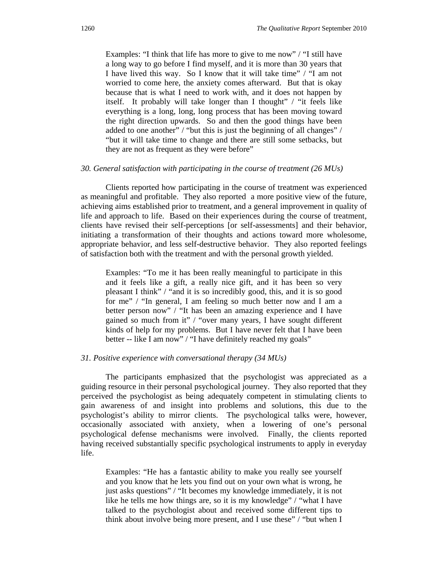Examples: "I think that life has more to give to me now" / "I still have a long way to go before I find myself, and it is more than 30 years that I have lived this way. So I know that it will take time" / "I am not worried to come here, the anxiety comes afterward. But that is okay because that is what I need to work with, and it does not happen by itself. It probably will take longer than I thought" / "it feels like everything is a long, long, long process that has been moving toward the right direction upwards. So and then the good things have been added to one another" / "but this is just the beginning of all changes" / "but it will take time to change and there are still some setbacks, but they are not as frequent as they were before"

## *30. General satisfaction with participating in the course of treatment (26 MUs)*

Clients reported how participating in the course of treatment was experienced as meaningful and profitable. They also reported a more positive view of the future, achieving aims established prior to treatment, and a general improvement in quality of life and approach to life. Based on their experiences during the course of treatment, clients have revised their self-perceptions [or self-assessments] and their behavior, initiating a transformation of their thoughts and actions toward more wholesome, appropriate behavior, and less self-destructive behavior. They also reported feelings of satisfaction both with the treatment and with the personal growth yielded.

Examples: "To me it has been really meaningful to participate in this and it feels like a gift, a really nice gift, and it has been so very pleasant I think" / "and it is so incredibly good, this, and it is so good for me" / "In general, I am feeling so much better now and I am a better person now" / "It has been an amazing experience and I have gained so much from it" / "over many years, I have sought different kinds of help for my problems. But I have never felt that I have been better -- like I am now" / "I have definitely reached my goals"

## *31. Positive experience with conversational therapy (34 MUs)*

The participants emphasized that the psychologist was appreciated as a guiding resource in their personal psychological journey. They also reported that they perceived the psychologist as being adequately competent in stimulating clients to gain awareness of and insight into problems and solutions, this due to the psychologist's ability to mirror clients. The psychological talks were, however, occasionally associated with anxiety, when a lowering of one's personal psychological defense mechanisms were involved. Finally, the clients reported having received substantially specific psychological instruments to apply in everyday life.

Examples: "He has a fantastic ability to make you really see yourself and you know that he lets you find out on your own what is wrong, he just asks questions" / "It becomes my knowledge immediately, it is not like he tells me how things are, so it is my knowledge" / "what I have talked to the psychologist about and received some different tips to think about involve being more present, and I use these" / "but when I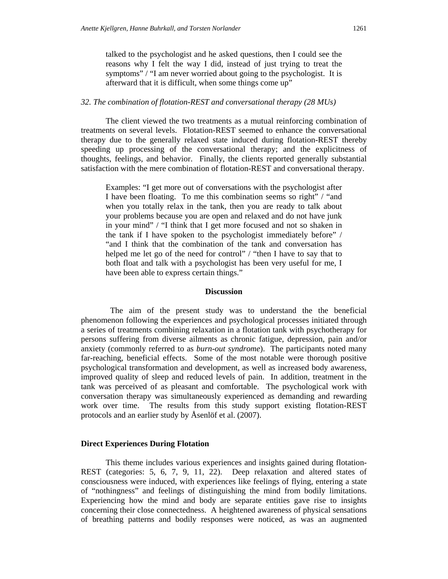talked to the psychologist and he asked questions, then I could see the reasons why I felt the way I did, instead of just trying to treat the symptoms" / "I am never worried about going to the psychologist. It is afterward that it is difficult, when some things come up"

#### *32. The combination of flotation-REST and conversational therapy (28 MUs)*

The client viewed the two treatments as a mutual reinforcing combination of treatments on several levels. Flotation-REST seemed to enhance the conversational therapy due to the generally relaxed state induced during flotation-REST thereby speeding up processing of the conversational therapy; and the explicitness of thoughts, feelings, and behavior. Finally, the clients reported generally substantial satisfaction with the mere combination of flotation-REST and conversational therapy.

Examples: "I get more out of conversations with the psychologist after I have been floating. To me this combination seems so right" / "and when you totally relax in the tank, then you are ready to talk about your problems because you are open and relaxed and do not have junk in your mind" / "I think that I get more focused and not so shaken in the tank if I have spoken to the psychologist immediately before" / "and I think that the combination of the tank and conversation has helped me let go of the need for control" / "then I have to say that to both float and talk with a psychologist has been very useful for me, I have been able to express certain things."

#### **Discussion**

The aim of the present study was to understand the the beneficial phenomenon following the experiences and psychological processes initiated through a series of treatments combining relaxation in a flotation tank with psychotherapy for persons suffering from diverse ailments as chronic fatigue, depression, pain and/or anxiety (commonly referred to as *burn-out syndrome*). The participants noted many far-reaching, beneficial effects. Some of the most notable were thorough positive psychological transformation and development, as well as increased body awareness, improved quality of sleep and reduced levels of pain. In addition, treatment in the tank was perceived of as pleasant and comfortable. The psychological work with conversation therapy was simultaneously experienced as demanding and rewarding work over time. The results from this study support existing flotation-REST protocols and an earlier study by Åsenlöf et al. (2007).

#### **Direct Experiences During Flotation**

This theme includes various experiences and insights gained during flotation-REST (categories: 5, 6, 7, 9, 11, 22). Deep relaxation and altered states of consciousness were induced, with experiences like feelings of flying, entering a state of "nothingness" and feelings of distinguishing the mind from bodily limitations. Experiencing how the mind and body are separate entities gave rise to insights concerning their close connectedness. A heightened awareness of physical sensations of breathing patterns and bodily responses were noticed, as was an augmented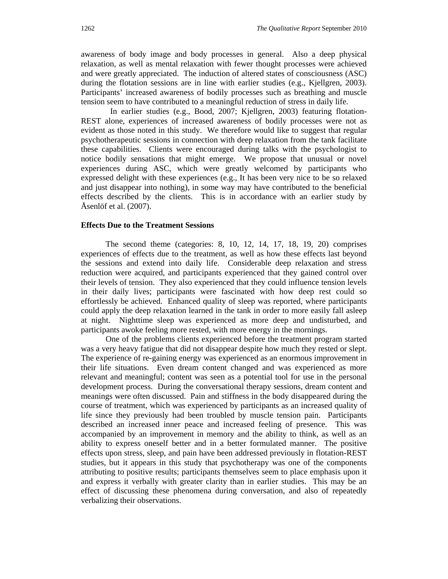awareness of body image and body processes in general. Also a deep physical relaxation, as well as mental relaxation with fewer thought processes were achieved and were greatly appreciated. The induction of altered states of consciousness (ASC) during the flotation sessions are in line with earlier studies (e.g., Kjellgren, 2003). Participants' increased awareness of bodily processes such as breathing and muscle tension seem to have contributed to a meaningful reduction of stress in daily life.

 In earlier studies (e.g., Bood, 2007; Kjellgren, 2003) featuring flotation-REST alone, experiences of increased awareness of bodily processes were not as evident as those noted in this study. We therefore would like to suggest that regular psychotherapeutic sessions in connection with deep relaxation from the tank facilitate these capabilities. Clients were encouraged during talks with the psychologist to notice bodily sensations that might emerge. We propose that unusual or novel experiences during ASC, which were greatly welcomed by participants who expressed delight with these experiences (e.g., It has been very nice to be so relaxed and just disappear into nothing), in some way may have contributed to the beneficial effects described by the clients. This is in accordance with an earlier study by Åsenlöf et al. (2007).

## **Effects Due to the Treatment Sessions**

The second theme (categories: 8, 10, 12, 14, 17, 18, 19, 20) comprises experiences of effects due to the treatment, as well as how these effects last beyond the sessions and extend into daily life. Considerable deep relaxation and stress reduction were acquired, and participants experienced that they gained control over their levels of tension. They also experienced that they could influence tension levels in their daily lives; participants were fascinated with how deep rest could so effortlessly be achieved. Enhanced quality of sleep was reported, where participants could apply the deep relaxation learned in the tank in order to more easily fall asleep at night. Nighttime sleep was experienced as more deep and undisturbed, and participants awoke feeling more rested, with more energy in the mornings.

One of the problems clients experienced before the treatment program started was a very heavy fatigue that did not disappear despite how much they rested or slept. The experience of re-gaining energy was experienced as an enormous improvement in their life situations. Even dream content changed and was experienced as more relevant and meaningful; content was seen as a potential tool for use in the personal development process. During the conversational therapy sessions, dream content and meanings were often discussed. Pain and stiffness in the body disappeared during the course of treatment, which was experienced by participants as an increased quality of life since they previously had been troubled by muscle tension pain. Participants described an increased inner peace and increased feeling of presence. This was accompanied by an improvement in memory and the ability to think, as well as an ability to express oneself better and in a better formulated manner. The positive effects upon stress, sleep, and pain have been addressed previously in flotation-REST studies, but it appears in this study that psychotherapy was one of the components attributing to positive results; participants themselves seem to place emphasis upon it and express it verbally with greater clarity than in earlier studies. This may be an effect of discussing these phenomena during conversation, and also of repeatedly verbalizing their observations.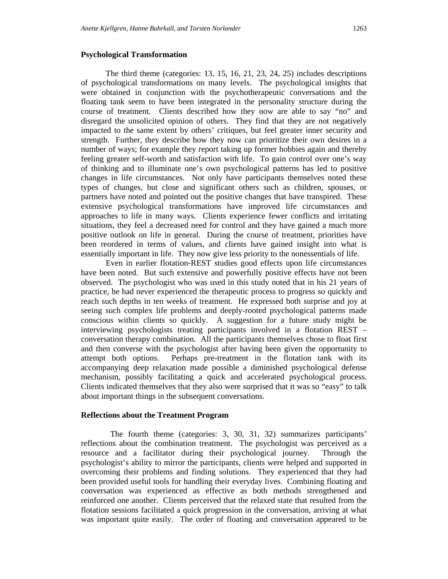## **Psychological Transformation**

The third theme (categories: 13, 15, 16, 21, 23, 24, 25) includes descriptions of psychological transformations on many levels. The psychological insights that were obtained in conjunction with the psychotherapeutic conversations and the floating tank seem to have been integrated in the personality structure during the course of treatment. Clients described how they now are able to say "no" and disregard the unsolicited opinion of others. They find that they are not negatively impacted to the same extent by others' critiques, but feel greater inner security and strength. Further, they describe how they now can prioritize their own desires in a number of ways; for example they report taking up former hobbies again and thereby feeling greater self-worth and satisfaction with life. To gain control over one's way of thinking and to illuminate one's own psychological patterns has led to positive changes in life circumstances. Not only have participants themselves noted these types of changes, but close and significant others such as children, spouses, or partners have noted and pointed out the positive changes that have transpired. These extensive psychological transformations have improved life circumstances and approaches to life in many ways. Clients experience fewer conflicts and irritating situations, they feel a decreased need for control and they have gained a much more positive outlook on life in general. During the course of treatment, priorities have been reordered in terms of values, and clients have gained insight into what is essentially important in life. They now give less priority to the nonessentials of life.

Even in earlier flotation-REST studies good effects upon life circumstances have been noted. But such extensive and powerfully positive effects have not been observed. The psychologist who was used in this study noted that in his 21 years of practice, he had never experienced the therapeutic process to progress so quickly and reach such depths in ten weeks of treatment. He expressed both surprise and joy at seeing such complex life problems and deeply-rooted psychological patterns made conscious within clients so quickly. A suggestion for a future study might be interviewing psychologists treating participants involved in a flotation REST – conversation therapy combination. All the participants themselves chose to float first and then converse with the psychologist after having been given the opportunity to attempt both options. Perhaps pre-treatment in the flotation tank with its accompanying deep relaxation made possible a diminished psychological defense mechanism, possibly facilitating a quick and accelerated psychological process. Clients indicated themselves that they also were surprised that it was so "easy" to talk about important things in the subsequent conversations.

#### **Reflections about the Treatment Program**

The fourth theme (categories: 3, 30, 31, 32) summarizes participants' reflections about the combination treatment. The psychologist was perceived as a resource and a facilitator during their psychological journey. Through the psychologist's ability to mirror the participants, clients were helped and supported in overcoming their problems and finding solutions. They experienced that they had been provided useful tools for handling their everyday lives. Combining floating and conversation was experienced as effective as both methods strengthened and reinforced one another. Clients perceived that the relaxed state that resulted from the flotation sessions facilitated a quick progression in the conversation, arriving at what was important quite easily. The order of floating and conversation appeared to be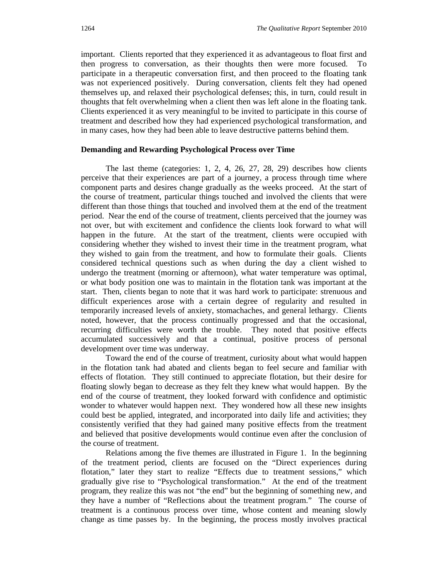important. Clients reported that they experienced it as advantageous to float first and then progress to conversation, as their thoughts then were more focused. To participate in a therapeutic conversation first, and then proceed to the floating tank was not experienced positively. During conversation, clients felt they had opened themselves up, and relaxed their psychological defenses; this, in turn, could result in thoughts that felt overwhelming when a client then was left alone in the floating tank. Clients experienced it as very meaningful to be invited to participate in this course of treatment and described how they had experienced psychological transformation, and in many cases, how they had been able to leave destructive patterns behind them.

## **Demanding and Rewarding Psychological Process over Time**

The last theme (categories: 1, 2, 4, 26, 27, 28, 29) describes how clients perceive that their experiences are part of a journey, a process through time where component parts and desires change gradually as the weeks proceed. At the start of the course of treatment, particular things touched and involved the clients that were different than those things that touched and involved them at the end of the treatment period. Near the end of the course of treatment, clients perceived that the journey was not over, but with excitement and confidence the clients look forward to what will happen in the future. At the start of the treatment, clients were occupied with considering whether they wished to invest their time in the treatment program, what they wished to gain from the treatment, and how to formulate their goals. Clients considered technical questions such as when during the day a client wished to undergo the treatment (morning or afternoon), what water temperature was optimal, or what body position one was to maintain in the flotation tank was important at the start. Then, clients began to note that it was hard work to participate: strenuous and difficult experiences arose with a certain degree of regularity and resulted in temporarily increased levels of anxiety, stomachaches, and general lethargy. Clients noted, however, that the process continually progressed and that the occasional, recurring difficulties were worth the trouble. They noted that positive effects accumulated successively and that a continual, positive process of personal development over time was underway.

Toward the end of the course of treatment, curiosity about what would happen in the flotation tank had abated and clients began to feel secure and familiar with effects of flotation. They still continued to appreciate flotation, but their desire for floating slowly began to decrease as they felt they knew what would happen. By the end of the course of treatment, they looked forward with confidence and optimistic wonder to whatever would happen next. They wondered how all these new insights could best be applied, integrated, and incorporated into daily life and activities; they consistently verified that they had gained many positive effects from the treatment and believed that positive developments would continue even after the conclusion of the course of treatment.

Relations among the five themes are illustrated in Figure 1. In the beginning of the treatment period, clients are focused on the "Direct experiences during flotation," later they start to realize "Effects due to treatment sessions," which gradually give rise to "Psychological transformation." At the end of the treatment program, they realize this was not "the end" but the beginning of something new, and they have a number of "Reflections about the treatment program." The course of treatment is a continuous process over time, whose content and meaning slowly change as time passes by. In the beginning, the process mostly involves practical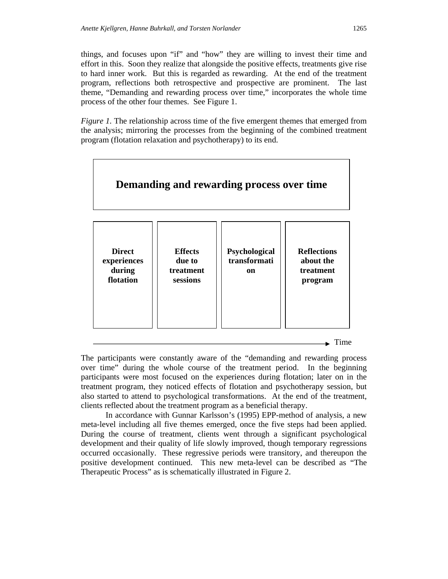things, and focuses upon "if" and "how" they are willing to invest their time and effort in this. Soon they realize that alongside the positive effects, treatments give rise to hard inner work. But this is regarded as rewarding. At the end of the treatment program, reflections both retrospective and prospective are prominent. The last theme, "Demanding and rewarding process over time," incorporates the whole time process of the other four themes. See Figure 1.

*Figure 1.* The relationship across time of the five emergent themes that emerged from the analysis; mirroring the processes from the beginning of the combined treatment program (flotation relaxation and psychotherapy) to its end.



The participants were constantly aware of the "demanding and rewarding process over time" during the whole course of the treatment period. In the beginning participants were most focused on the experiences during flotation; later on in the treatment program, they noticed effects of flotation and psychotherapy session, but also started to attend to psychological transformations. At the end of the treatment, clients reflected about the treatment program as a beneficial therapy.

In accordance with Gunnar Karlsson's (1995) EPP-method of analysis, a new meta-level including all five themes emerged, once the five steps had been applied. During the course of treatment, clients went through a significant psychological development and their quality of life slowly improved, though temporary regressions occurred occasionally. These regressive periods were transitory, and thereupon the positive development continued. This new meta-level can be described as "The Therapeutic Process" as is schematically illustrated in Figure 2.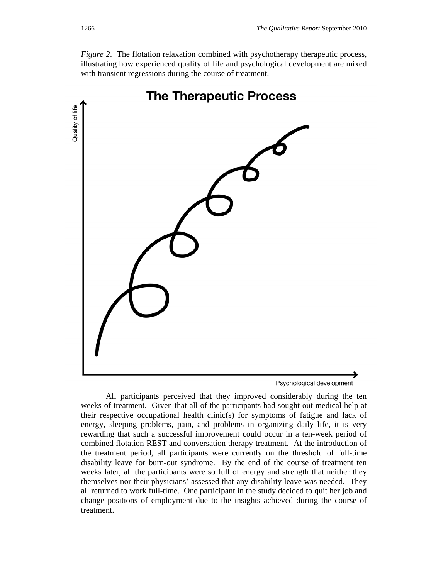*Figure 2*. The flotation relaxation combined with psychotherapy therapeutic process, illustrating how experienced quality of life and psychological development are mixed with transient regressions during the course of treatment.



All participants perceived that they improved considerably during the ten weeks of treatment. Given that all of the participants had sought out medical help at their respective occupational health clinic(s) for symptoms of fatigue and lack of energy, sleeping problems, pain, and problems in organizing daily life, it is very rewarding that such a successful improvement could occur in a ten-week period of combined flotation REST and conversation therapy treatment. At the introduction of the treatment period, all participants were currently on the threshold of full-time disability leave for burn-out syndrome. By the end of the course of treatment ten weeks later, all the participants were so full of energy and strength that neither they themselves nor their physicians' assessed that any disability leave was needed. They all returned to work full-time. One participant in the study decided to quit her job and change positions of employment due to the insights achieved during the course of treatment.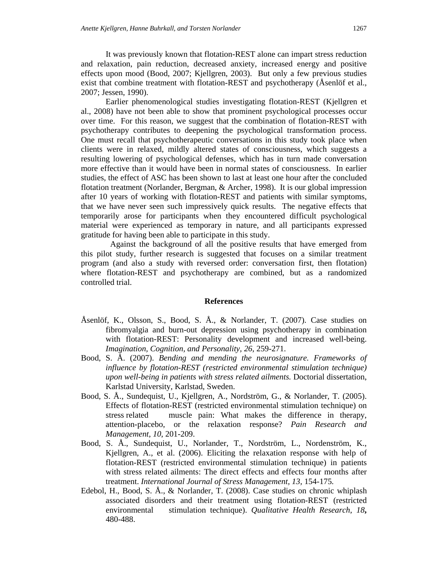It was previously known that flotation-REST alone can impart stress reduction and relaxation, pain reduction, decreased anxiety, increased energy and positive effects upon mood (Bood, 2007; Kjellgren, 2003). But only a few previous studies exist that combine treatment with flotation-REST and psychotherapy (Åsenlöf et al., 2007; Jessen, 1990).

Earlier phenomenological studies investigating flotation-REST (Kjellgren et al., 2008) have not been able to show that prominent psychological processes occur over time. For this reason, we suggest that the combination of flotation-REST with psychotherapy contributes to deepening the psychological transformation process. One must recall that psychotherapeutic conversations in this study took place when clients were in relaxed, mildly altered states of consciousness, which suggests a resulting lowering of psychological defenses, which has in turn made conversation more effective than it would have been in normal states of consciousness. In earlier studies, the effect of ASC has been shown to last at least one hour after the concluded flotation treatment (Norlander, Bergman, & Archer, 1998). It is our global impression after 10 years of working with flotation-REST and patients with similar symptoms, that we have never seen such impressively quick results. The negative effects that temporarily arose for participants when they encountered difficult psychological material were experienced as temporary in nature, and all participants expressed gratitude for having been able to participate in this study.

 Against the background of all the positive results that have emerged from this pilot study, further research is suggested that focuses on a similar treatment program (and also a study with reversed order: conversation first, then flotation) where flotation-REST and psychotherapy are combined, but as a randomized controlled trial.

## **References**

- Åsenlöf, K., Olsson, S., Bood, S. Å., & Norlander, T. (2007). Case studies on fibromyalgia and burn-out depression using psychotherapy in combination with flotation-REST: Personality development and increased well-being. *Imagination, Cognition, and Personality, 26*, 259-271.
- Bood, S. Å. (2007). *Bending and mending the neurosignature. Frameworks of influence by flotation-REST (restricted environmental stimulation technique) upon well-being in patients with stress related ailments.* Doctorial dissertation, Karlstad University, Karlstad, Sweden.
- Bood, S. Å., Sundequist, U., Kjellgren, A., Nordström, G., & Norlander, T. (2005). Effects of flotation-REST (restricted environmental stimulation technique) on stress related muscle pain: What makes the difference in therapy, attention-placebo, or the relaxation response? *Pain Research and Management, 10*, 201-209.
- Bood, S. Å., Sundequist, U., Norlander, T., Nordström, L., Nordenström, K., Kjellgren, A., et al. (2006). Eliciting the relaxation response with help of flotation-REST (restricted environmental stimulation technique) in patients with stress related ailments: The direct effects and effects four months after treatment. *International Journal of Stress Management, 13,* 154*-*175*.*
- Edebol, H., Bood, S. Å., & Norlander, T. (2008). Case studies on chronic whiplash associated disorders and their treatment using flotation-REST (restricted environmental stimulation technique). *Qualitative Health Research*, *18***,**  480-488.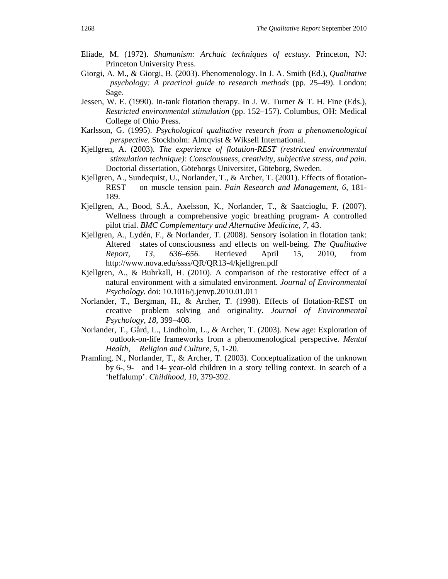- Eliade, M. (1972). *Shamanism: Archaic techniques of ecstasy*. Princeton, NJ: Princeton University Press.
- Giorgi, A. M., & Giorgi, B. (2003). Phenomenology. In J. A. Smith (Ed.), *Qualitative psychology: A practical guide to research methods* (pp. 25–49). London: Sage.
- Jessen, W. E. (1990). In-tank flotation therapy. In J. W. Turner & T. H. Fine (Eds.), *Restricted environmental stimulation* (pp. 152–157). Columbus, OH: Medical College of Ohio Press.
- Karlsson, G. (1995). *Psychological qualitative research from a phenomenological perspective.* Stockholm: Almqvist & Wiksell International.
- Kjellgren, A. (2003). *The experience of flotation-REST (restricted environmental stimulation technique): Consciousness, creativity, subjective stress, and pain.*  Doctorial dissertation, Göteborgs Universitet, Göteborg, Sweden.
- Kjellgren, A., Sundequist, U., Norlander, T., & Archer, T. (2001). Effects of flotation-REST on muscle tension pain. *Pain Research and Management, 6*, 181- 189.
- Kjellgren, A., Bood, S.Å., Axelsson, K., Norlander, T., & Saatcioglu, F. (2007). Wellness through a comprehensive yogic breathing program- A controlled pilot trial. *BMC Complementary and Alternative Medicine, 7,* 43.
- Kjellgren, A., Lydén, F., & Norlander, T. (2008). Sensory isolation in flotation tank: Altered states of consciousness and effects on well-being. *The Qualitative Report, 13, 636–656.* Retrieved April 15, 2010, from http://www.nova.edu/ssss/QR/QR13-4/kjellgren.pdf
- Kjellgren, A., & Buhrkall, H. (2010). A comparison of the restorative effect of a natural environment with a simulated environment. *Journal of Environmental Psychology.* doi: 10.1016/j.jenvp.2010.01.011
- Norlander, T., Bergman, H., & Archer, T. (1998). Effects of flotation-REST on creative problem solving and originality. *Journal of Environmental Psychology, 18*, 399–408.
- Norlander, T., Gård, L., Lindholm, L., & Archer, T. (2003). New age: Exploration of outlook-on-life frameworks from a phenomenological perspective. *Mental Health, Religion and Culture, 5,* 1-20.
- Pramling, N., Norlander, T., & Archer, T. (2003). Conceptualization of the unknown by 6-, 9- and 14- year-old children in a story telling context. In search of a 'heffalump'. *Childhood*, *10*, 379-392.